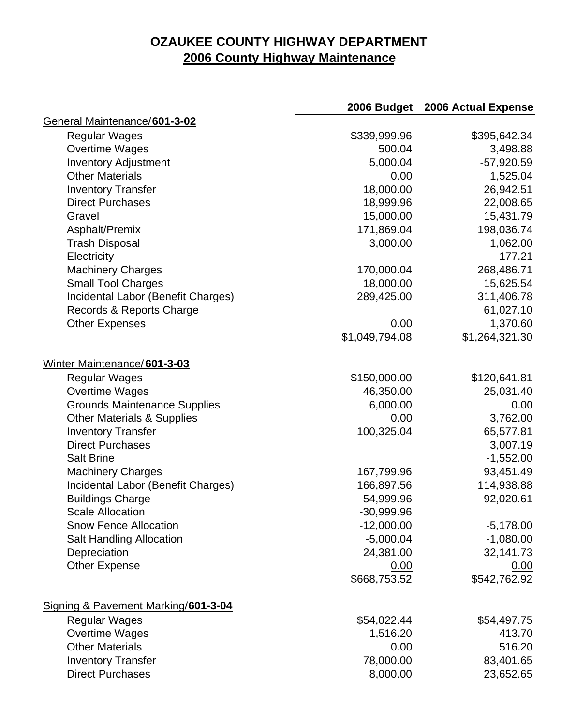## **OZAUKEE COUNTY HIGHWAY DEPARTMENT 2006 County Highway Maintenance**

|                                       | 2006 Budget    | 2006 Actual Expense |
|---------------------------------------|----------------|---------------------|
| General Maintenance/601-3-02          |                |                     |
| <b>Regular Wages</b>                  | \$339,999.96   | \$395,642.34        |
| Overtime Wages                        | 500.04         | 3,498.88            |
| <b>Inventory Adjustment</b>           | 5,000.04       | $-57,920.59$        |
| <b>Other Materials</b>                | 0.00           | 1,525.04            |
| <b>Inventory Transfer</b>             | 18,000.00      | 26,942.51           |
| <b>Direct Purchases</b>               | 18,999.96      | 22,008.65           |
| Gravel                                | 15,000.00      | 15,431.79           |
| Asphalt/Premix                        | 171,869.04     | 198,036.74          |
| <b>Trash Disposal</b>                 | 3,000.00       | 1,062.00            |
| Electricity                           |                | 177.21              |
| <b>Machinery Charges</b>              | 170,000.04     | 268,486.71          |
| <b>Small Tool Charges</b>             | 18,000.00      | 15,625.54           |
| Incidental Labor (Benefit Charges)    | 289,425.00     | 311,406.78          |
| Records & Reports Charge              |                | 61,027.10           |
| <b>Other Expenses</b>                 | 0.00           | 1,370.60            |
|                                       | \$1,049,794.08 | \$1,264,321.30      |
| Winter Maintenance/601-3-03           |                |                     |
| <b>Regular Wages</b>                  | \$150,000.00   | \$120,641.81        |
| Overtime Wages                        | 46,350.00      | 25,031.40           |
| <b>Grounds Maintenance Supplies</b>   | 6,000.00       | 0.00                |
| <b>Other Materials &amp; Supplies</b> | 0.00           | 3,762.00            |
| <b>Inventory Transfer</b>             | 100,325.04     | 65,577.81           |
| <b>Direct Purchases</b>               |                | 3,007.19            |
| <b>Salt Brine</b>                     |                | $-1,552.00$         |
| <b>Machinery Charges</b>              | 167,799.96     | 93,451.49           |
| Incidental Labor (Benefit Charges)    | 166,897.56     | 114,938.88          |
| <b>Buildings Charge</b>               | 54,999.96      | 92,020.61           |
| <b>Scale Allocation</b>               | -30,999.96     |                     |
| <b>Snow Fence Allocation</b>          | $-12,000.00$   | $-5,178.00$         |
| <b>Salt Handling Allocation</b>       | $-5,000.04$    | $-1,080.00$         |
| Depreciation                          | 24,381.00      | 32,141.73           |
| <b>Other Expense</b>                  | 0.00           | 0.00                |
|                                       | \$668,753.52   | \$542,762.92        |
| Signing & Pavement Marking/601-3-04   |                |                     |
| <b>Regular Wages</b>                  | \$54,022.44    | \$54,497.75         |
| Overtime Wages                        | 1,516.20       | 413.70              |
| <b>Other Materials</b>                | 0.00           | 516.20              |
| <b>Inventory Transfer</b>             | 78,000.00      | 83,401.65           |
| <b>Direct Purchases</b>               | 8,000.00       | 23,652.65           |